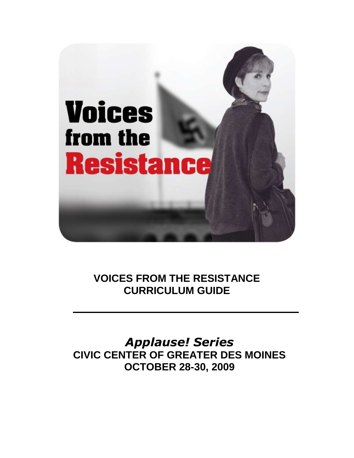

# **VOICES FROM THE RESISTANCE CURRICULUM GUIDE**

*Applause! Series* **CIVIC CENTER OF GREATER DES MOINES OCTOBER 28-30, 2009**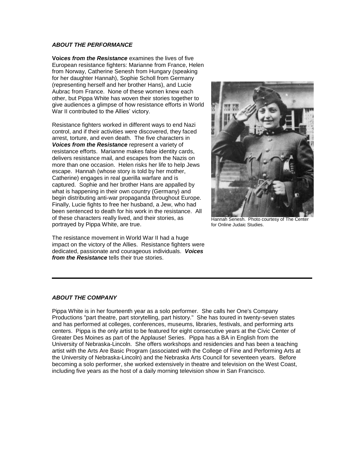# *ABOUT THE PERFORMANCE*

**Voi***ces from the Resistance* examines the lives of five European resistance fighters: Marianne from France, Helen from Norway, Catherine Senesh from Hungary (speaking for her daughter Hannah), Sophie Scholl from Germany (representing herself and her brother Hans), and Lucie Aubrac from France. None of these women knew each other, but Pippa White has woven their stories together to give audiences a glimpse of how resistance efforts in World War II contributed to the Allies' victory.

Resistance fighters worked in different ways to end Nazi control, and if their activities were discovered, they faced arrest, torture, and even death. The five characters in *Voices from the Resistance* represent a variety of resistance efforts. Marianne makes false identity cards, delivers resistance mail, and escapes from the Nazis on more than one occasion. Helen risks her life to help Jews escape. Hannah (whose story is told by her mother, Catherine) engages in real guerilla warfare and is captured. Sophie and her brother Hans are appalled by what is happening in their own country (Germany) and begin distributing anti-war propaganda throughout Europe. Finally, Lucie fights to free her husband, a Jew, who had been sentenced to death for his work in the resistance. All of these characters really lived, and their stories, as portrayed by Pippa White, are true.

The resistance movement in World War II had a huge impact on the victory of the Allies. Resistance fighters were dedicated, passionate and courageous individuals. *Voices from the Resistance* tells their true stories.



Hannah Senesh. Photo courtesy of The Center for Online Judaic Studies.

#### *ABOUT THE COMPANY*

Pippa White is in her fourteenth year as a solo performer. She calls her One's Company Productions "part theatre, part storytelling, part history." She has toured in twenty-seven states and has performed at colleges, conferences, museums, libraries, festivals, and performing arts centers. Pippa is the only artist to be featured for eight consecutive years at the Civic Center of Greater Des Moines as part of the Applause! Series. Pippa has a BA in English from the University of Nebraska-Lincoln. She offers workshops and residencies and has been a teaching artist with the Arts Are Basic Program (associated with the College of Fine and Performing Arts at the University of Nebraska-Lincoln) and the Nebraska Arts Council for seventeen years. Before becoming a solo performer, she worked extensively in theatre and television on the West Coast, including five years as the host of a daily morning television show in San Francisco.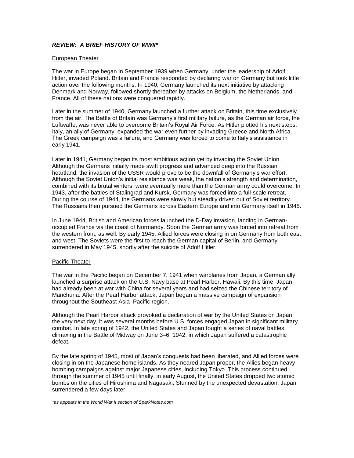# *REVIEW: A BRIEF HISTORY OF WWII\**

#### European Theater

The war in Europe began in September 1939 when Germany, under the leadership of Adolf Hitler, invaded Poland. Britain and France responded by declaring war on Germany but took little action over the following months. In 1940, Germany launched its next initiative by attacking Denmark and Norway, followed shortly thereafter by attacks on Belgium, the Netherlands, and France. All of these nations were conquered rapidly.

Later in the summer of 1940, Germany launched a further attack on Britain, this time exclusively from the air. The Battle of Britain was Germany's first military failure, as the German air force, the Luftwaffe, was never able to overcome Britain's Royal Air Force. As Hitler plotted his next steps, Italy, an ally of Germany, expanded the war even further by invading Greece and North Africa. The Greek campaign was a failure, and Germany was forced to come to Italy's assistance in early 1941.

Later in 1941, Germany began its most ambitious action yet by invading the Soviet Union. Although the Germans initially made swift progress and advanced deep into the Russian heartland, the invasion of the USSR would prove to be the downfall of Germany's war effort. Although the Soviet Union's initial resistance was weak, the nation's strength and determination, combined with its brutal winters, were eventually more than the German army could overcome. In 1943, after the battles of Stalingrad and Kursk, Germany was forced into a full-scale retreat. During the course of 1944, the Germans were slowly but steadily driven out of Soviet territory. The Russians then pursued the Germans across Eastern Europe and into Germany itself in 1945.

In June 1944, British and American forces launched the D-Day invasion, landing in Germanoccupied France via the coast of Normandy. Soon the German army was forced into retreat from the western front, as well. By early 1945, Allied forces were closing in on Germany from both east and west. The Soviets were the first to reach the German capital of Berlin, and Germany surrendered in May 1945, shortly after the suicide of Adolf Hitler.

#### Pacific Theater

The war in the Pacific began on December 7, 1941 when warplanes from Japan, a German ally, launched a surprise attack on the U.S. Navy base at Pearl Harbor, Hawaii. By this time, Japan had already been at war with China for several years and had seized the Chinese territory of Manchuria. After the Pearl Harbor attack, Japan began a massive campaign of expansion throughout the Southeast Asia–Pacific region.

Although the Pearl Harbor attack provoked a declaration of war by the United States on Japan the very next day, it was several months before U.S. forces engaged Japan in significant military combat. In late spring of 1942, the United States and Japan fought a series of naval battles, climaxing in the Battle of Midway on June 3–6, 1942, in which Japan suffered a catastrophic defeat.

By the late spring of 1945, most of Japan's conquests had been liberated, and Allied forces were closing in on the Japanese home islands. As they neared Japan proper, the Allies began heavy bombing campaigns against major Japanese cities, including Tokyo. This process continued through the summer of 1945 until finally, in early August, the United States dropped two atomic bombs on the cities of Hiroshima and Nagasaki. Stunned by the unexpected devastation, Japan surrendered a few days later.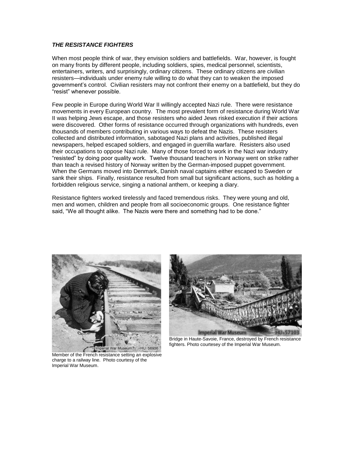# *THE RESISTANCE FIGHTERS*

When most people think of war, they envision soldiers and battlefields. War, however, is fought on many fronts by different people, including soldiers, spies, medical personnel, scientists, entertainers, writers, and surprisingly, ordinary citizens. These ordinary citizens are civilian resisters—individuals under enemy rule willing to do what they can to weaken the imposed government's control. Civilian resisters may not confront their enemy on a battlefield, but they do "resist" whenever possible.

Few people in Europe during World War II willingly accepted Nazi rule. There were resistance movements in every European country. The most prevalent form of resistance during World War II was helping Jews escape, and those resisters who aided Jews risked execution if their actions were discovered. Other forms of resistance occurred through organizations with hundreds, even thousands of members contributing in various ways to defeat the Nazis. These resisters collected and distributed information, sabotaged Nazi plans and activities, published illegal newspapers, helped escaped soldiers, and engaged in guerrilla warfare. Resisters also used their occupations to oppose Nazi rule. Many of those forced to work in the Nazi war industry "resisted" by doing poor quality work. Twelve thousand teachers in Norway went on strike rather than teach a revised history of Norway written by the German-imposed puppet government. When the Germans moved into Denmark, Danish naval captains either escaped to Sweden or sank their ships. Finally, resistance resulted from small but significant actions, such as holding a forbidden religious service, singing a national anthem, or keeping a diary.

Resistance fighters worked tirelessly and faced tremendous risks. They were young and old, men and women, children and people from all socioeconomic groups. One resistance fighter said, "We all thought alike. The Nazis were there and something had to be done."





Bridge in Haute-Savoie, France, destroyed by French resistance fighters. Photo courtesey of the Imperial War Museum.

Member of the French resistance setting an explosive charge to a railway line. Photo courtesy of the Imperial War Museum.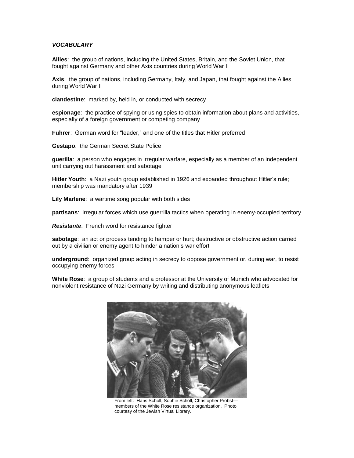#### *VOCABULARY*

**Allies**: the group of nations, including the United States, Britain, and the Soviet Union, that fought against Germany and other Axis countries during World War II

**Axis**: the group of nations, including Germany, Italy, and Japan, that fought against the Allies during World War II

**clandestine**: marked by, held in, or conducted with secrecy

**espionage**: the practice of spying or using spies to obtain information about plans and activities, especially of a foreign government or competing company

**Fuhrer**: German word for "leader," and one of the titles that Hitler preferred

**Gestapo**: the German Secret State Police

**guerilla**: a person who engages in irregular warfare, especially as a member of an independent unit carrying out harassment and sabotage

**Hitler Youth**: a Nazi youth group established in 1926 and expanded throughout Hitler's rule; membership was mandatory after 1939

**Lily Marlene**: a wartime song popular with both sides

**partisans**: irregular forces which use guerrilla tactics when operating in enemy-occupied territory

*Resistante*: French word for resistance fighter

**sabotage**: an act or process tending to hamper or hurt; destructive or obstructive action carried out by a civilian or enemy agent to hinder a nation's war effort

**underground**: organized group acting in secrecy to oppose government or, during war, to resist occupying enemy forces

**White Rose**: a group of students and a professor at the University of Munich who advocated for nonviolent resistance of Nazi Germany by writing and distributing anonymous leaflets



From left: Hans Scholl, Sophie Scholl, Christopher Probst members of the White Rose resistance organization. Photo courtesy of the Jewish Virtual Library.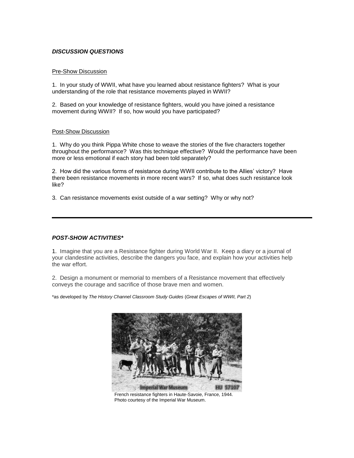#### *DISCUSSION QUESTIONS*

#### Pre-Show Discussion

1. In your study of WWII, what have you learned about resistance fighters? What is your understanding of the role that resistance movements played in WWII?

2. Based on your knowledge of resistance fighters, would you have joined a resistance movement during WWII? If so, how would you have participated?

#### Post-Show Discussion

1. Why do you think Pippa White chose to weave the stories of the five characters together throughout the performance? Was this technique effective? Would the performance have been more or less emotional if each story had been told separately?

2. How did the various forms of resistance during WWII contribute to the Allies' victory? Have there been resistance movements in more recent wars? If so, what does such resistance look like?

3. Can resistance movements exist outside of a war setting? Why or why not?

# *POST-SHOW ACTIVITIES\**

1. Imagine that you are a Resistance fighter during World War II. Keep a diary or a journal of your clandestine activities, describe the dangers you face, and explain how your activities help the war effort.

2. Design a monument or memorial to members of a Resistance movement that effectively conveys the courage and sacrifice of those brave men and women.

\*as developed by *The History Channel Classroom Study Guides* (*Great Escapes of WWII, Part 2*)



French resistance fighters in Haute-Savoie, France, 1944. Photo courtesy of the Imperial War Museum.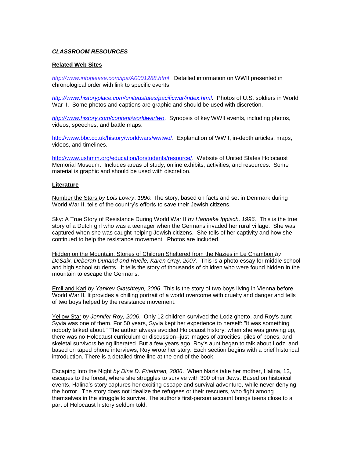#### *CLASSROOM RESOURCES*

#### **Related Web Sites**

*<http://www.infoplease.com/ipa/A0001288.html>*.Detailed information on WWII presented in chronological order with link to specific events.

*[http://www.historyplace.com/unitedstates/pacificwar/index.html.](http://www.historyplace.com/unitedstates/pacificwar/index.html)* Photos of U.S. soldiers in World War II. Some photos and captions are graphic and should be used with discretion.

*<http://www.history.com/content/worldwartwo>*. Synopsis of key WWII events, including photos, videos, speeches, and battle maps.

[http://www.bbc.co.uk/history/worldwars/wwtwo/.](http://www.bbc.co.uk/history/worldwars/wwtwo/) Explanation of WWII, in-depth articles, maps, videos, and timelines.

[http://www.ushmm.org/education/forstudents/resource/.](http://www.ushmm.org/education/forstudents/resource/) Website of United States Holocaust Memorial Museum. Includes areas of study, online exhibits, activities, and resources. Some material is graphic and should be used with discretion.

#### **Literature**

Number the Stars *by Lois Lowry*, *1990.* The story, based on facts and set in Denmark during World War II, tells of the country's efforts to save their Jewish citizens.

Sky: A True Story of Resistance During World War II *by Hanneke Ippisch, 1996.* This is the true story of a Dutch girl who was a teenager when the Germans invaded her rural village. She was captured when she was caught helping Jewish citizens. She tells of her captivity and how she continued to help the resistance movement. Photos are included.

Hidden on the Mountain: Stories of Children Sheltered from the Nazies in Le Chambon *by DeSaix, Deborah Durland and Ruelle, Karen Gray, 2007*. This is a photo essay for middle school and high school students. It tells the story of thousands of children who were found hidden in the mountain to escape the Germans.

Emil and Karl *by Yankev Glatshteyn, 2006*. This is the story of two boys living in Vienna before World War II. It provides a chilling portrait of a world overcome with cruelty and danger and tells of two boys helped by the resistance movement.

Yellow Star *by Jennifer Roy, 2006*. Only 12 children survived the Lodz ghetto, and Roy's aunt Syvia was one of them. For 50 years, Syvia kept her experience to herself: "It was something nobody talked about." The author always avoided Holocaust history; when she was growing up, there was no Holocaust curriculum or discussion--just images of atrocities, piles of bones, and skeletal survivors being liberated. But a few years ago, Roy's aunt began to talk about Lodz, and based on taped phone interviews, Roy wrote her story. Each section begins with a brief historical introduction. There is a detailed time line at the end of the book.

Escaping Into the Night *by Dina D. Friedman, 2006*. When Nazis take her mother, Halina, 13, escapes to the forest, where she struggles to survive with 300 other Jews. Based on historical events, Halina's story captures her exciting escape and survival adventure, while never denying the horror. The story does not idealize the refugees or their rescuers, who fight among themselves in the struggle to survive. The author's first-person account brings teens close to a part of Holocaust history seldom told.